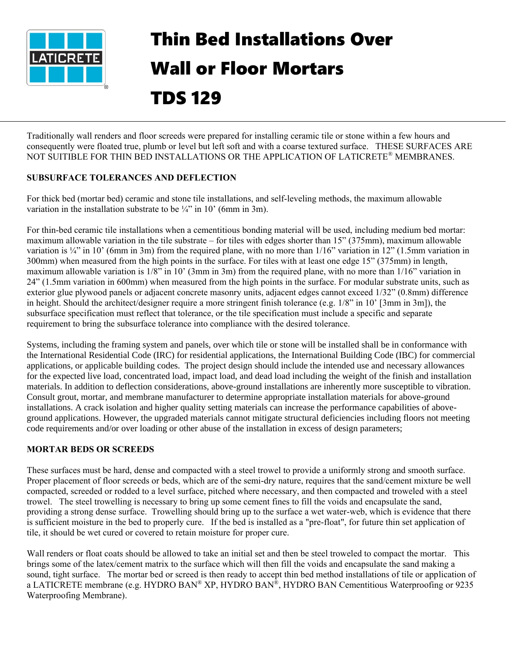

## Thin Bed Installations Over Wall or Floor Mortars TDS 129

Traditionally wall renders and floor screeds were prepared for installing ceramic tile or stone within a few hours and consequently were floated true, plumb or level but left soft and with a coarse textured surface. THESE SURFACES ARE NOT SUITIBLE FOR THIN BED INSTALLATIONS OR THE APPLICATION OF LATICRETE® MEMBRANES.

## **SUBSURFACE TOLERANCES AND DEFLECTION**

For thick bed (mortar bed) ceramic and stone tile installations, and self-leveling methods, the maximum allowable variation in the installation substrate to be  $\frac{1}{4}$  in 10' (6mm in 3m).

For thin-bed ceramic tile installations when a cementitious bonding material will be used, including medium bed mortar: maximum allowable variation in the tile substrate – for tiles with edges shorter than 15" (375mm), maximum allowable variation is  $\frac{1}{4}$  in 10' (6mm in 3m) from the required plane, with no more than  $1/16$ " variation in 12" (1.5mm variation in 300mm) when measured from the high points in the surface. For tiles with at least one edge 15" (375mm) in length, maximum allowable variation is 1/8" in 10' (3mm in 3m) from the required plane, with no more than 1/16" variation in 24" (1.5mm variation in 600mm) when measured from the high points in the surface. For modular substrate units, such as exterior glue plywood panels or adjacent concrete masonry units, adjacent edges cannot exceed 1/32" (0.8mm) difference in height. Should the architect/designer require a more stringent finish tolerance (e.g. 1/8" in 10' [3mm in 3m]), the subsurface specification must reflect that tolerance, or the tile specification must include a specific and separate requirement to bring the subsurface tolerance into compliance with the desired tolerance.

Systems, including the framing system and panels, over which tile or stone will be installed shall be in conformance with the International Residential Code (IRC) for residential applications, the International Building Code (IBC) for commercial applications, or applicable building codes. The project design should include the intended use and necessary allowances for the expected live load, concentrated load, impact load, and dead load including the weight of the finish and installation materials. In addition to deflection considerations, above-ground installations are inherently more susceptible to vibration. Consult grout, mortar, and membrane manufacturer to determine appropriate installation materials for above-ground installations. A crack isolation and higher quality setting materials can increase the performance capabilities of aboveground applications. However, the upgraded materials cannot mitigate structural deficiencies including floors not meeting code requirements and/or over loading or other abuse of the installation in excess of design parameters;

## **MORTAR BEDS OR SCREEDS**

These surfaces must be hard, dense and compacted with a steel trowel to provide a uniformly strong and smooth surface. Proper placement of floor screeds or beds, which are of the semi-dry nature, requires that the sand/cement mixture be well compacted, screeded or rodded to a level surface, pitched where necessary, and then compacted and troweled with a steel trowel. The steel trowelling is necessary to bring up some cement fines to fill the voids and encapsulate the sand, providing a strong dense surface. Trowelling should bring up to the surface a wet water-web, which is evidence that there is sufficient moisture in the bed to properly cure. If the bed is installed as a "pre-float", for future thin set application of tile, it should be wet cured or covered to retain moisture for proper cure.

Wall renders or float coats should be allowed to take an initial set and then be steel troweled to compact the mortar. This brings some of the latex/cement matrix to the surface which will then fill the voids and encapsulate the sand making a sound, tight surface. The mortar bed or screed is then ready to accept thin bed method installations of tile or application of a LATICRETE membrane (e.g. HYDRO BAN® XP, HYDRO BAN®, HYDRO BAN Cementitious Waterproofing or 9235 Waterproofing Membrane).